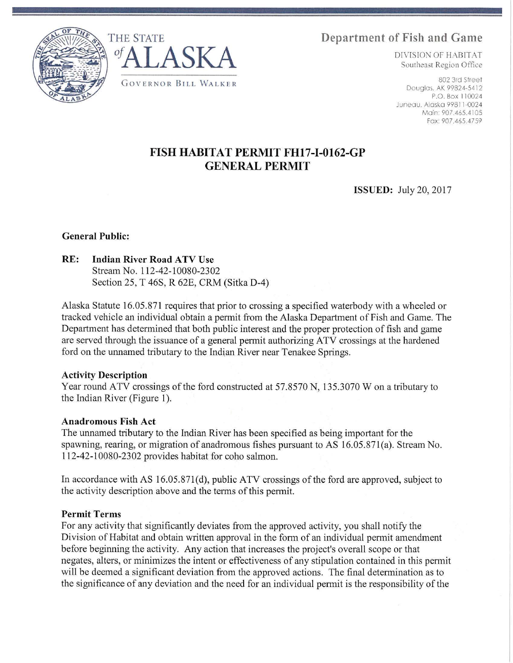THE STATE **Department of Fish and Game** 





P.O. Box 110024 Juneau, Alaska 99811-0024 Main: 907.465.4105 Fax: 907.465.4759

# **FISH HABITAT PERMIT FH17-I-0162-GP GENERAL PERMIT**

**ISSUED:** July 20, 2017

## **General Public:**

# **RE: Indian River Road ATV Use**

Stream No. l 12-42-10080-2302 Section 25, T 46S, R 62E, CRM (Sitka D-4)

Alaska Statute 16.05.871 requires that prior to crossing a specified waterbody with a wheeled or tracked vehicle an individual obtain a permit from the Alaska Department of Fish and Game. The Department has determined that both public interest and the proper protection of fish and game are served through the issuance of a general permit authorizing ATV crossings at the hardened ford on the unnamed tributary to the Indian River near Tenakee Springs.

#### **Activity Description**

Year round ATV crossings of the ford constructed at 57.8570 N, 135.3070 W on a tributary to the Indian River (Figure 1).

#### **Anadromous Fish Act**

The unnamed tributary to the Indian River has been specified as being important for the spawning, rearing, or migration of anadromous fishes pursuant to AS 16.05.87l(a). Stream No. 112-42-10080-2302 provides habitat for coho salmon.

In accordance with AS 16.05.871(d), public ATV crossings of the ford are approved, subject to the activity description above and the terms of this permit.

## **Permit Terms**

For any activity that significantly deviates from the approved activity, you shall notify the Division of Habitat and obtain written approval in the form of an individual permit amendment before beginning the activity. Any action that increases the project's overall scope or that negates, alters, or minimizes the intent or effectiveness of any stipulation contained in this permit will be deemed a significant deviation from the approved actions. The final determination as to the significance of any deviation and the need for an individual pennit is the responsibility of the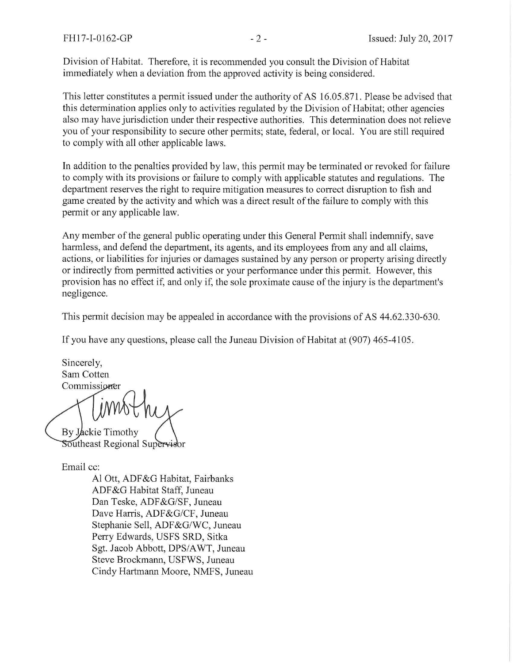Division of Habitat. Therefore, it is recommended you consult the Division of Habitat immediately when a deviation from the approved activity is being considered.

This letter constitutes a permit issued under the authority of AS 16.05.871. Please be advised that this determination applies only to activities regulated by the Division of Habitat; other agencies also may have jurisdiction under their respective authorities. This determination does not relieve you of your responsibility to secure other permits; state, federal, or local. You are still required to comply with all other applicable laws.

In addition to the penalties provided by law, this permit may be tenninated or revoked for failure to comply with its provisions or failure to comply with applicable statutes and regulations. The department reserves the right to require mitigation measures to correct disruption to fish and game created by the activity and which was a direct result of the failure to comply with this permit or any applicable law.

Any member of the general public operating under this General Permit shall indemnify, save harmless, and defend the department, its agents, and its employees from any and all claims, actions, or liabilities for injuries or damages sustained by any person or property arising directly or indirectly from permitted activities or your performance under this permit. However, this provision has no effect if, and only if, the sole proximate cause of the injury is the department's negligence.

This permit decision may be appealed in accordance with the provisions of AS 44.62.330-630.

If you have any questions, please call the Juneau Division of Habitat at (907) 465-4105.

Sincerely, Sam Cotten Commissioner

By Jackie Timothy Southeast Regional Supervisor

Email cc:

Al Ott, ADF&G Habitat, Fairbanks ADF&G Habitat Staff, Juneau Dan Teske, ADF&G/SF, Juneau Dave Harris, ADF&G/CF, Juneau Stephanie Sell, ADF&G/WC, Juneau Perry Edwards, USFS SRD, Sitka Sgt. Jacob Abbott, DPS/A WT, Juneau Steve Brockmann, USFWS, Juneau Cindy Hartmann Moore, NMFS, Juneau